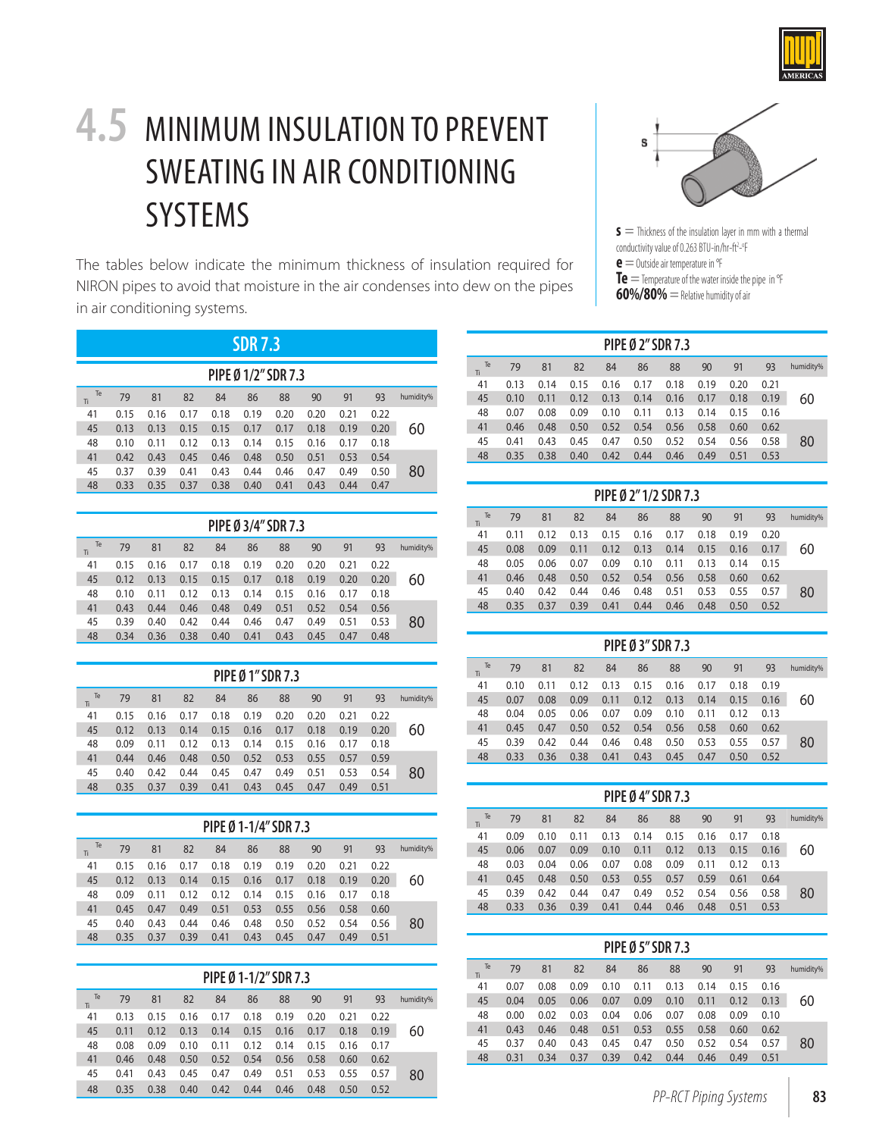

## **4.5** MINIMUM INSULATION TO PREVENT SWEATING IN AIR CONDITIONING SYSTEMS

The tables below indicate the minimum thickness of insulation required for NIRON pipes to avoid that moisture in the air condenses into dew on the pipes in air conditioning systems.

| <b>SDR 7.3</b>      |      |      |      |      |      |      |      |      |      |           |  |  |
|---------------------|------|------|------|------|------|------|------|------|------|-----------|--|--|
| PIPE Ø 1/2" SDR 7.3 |      |      |      |      |      |      |      |      |      |           |  |  |
| Te<br>Ti            | 79   | 81   | 82   | 84   | 86   | 88   | 90   | 91   | 93   | humidity% |  |  |
| 41                  | 0.15 | 0.16 | 0.17 | 0.18 | 0.19 | 0.20 | 0.20 | 0.21 | 0.22 |           |  |  |
| 45                  | 0.13 | 0.13 | 0.15 | 0.15 | 0.17 | 0.17 | 0.18 | 0.19 | 0.20 | 60        |  |  |
| 48                  | 0.10 | 0.11 | 0.12 | 0.13 | 0.14 | 0.15 | 0.16 | 0.17 | 0.18 |           |  |  |
| 41                  | 0.42 | 0.43 | 0.45 | 0.46 | 0.48 | 0.50 | 0.51 | 0.53 | 0.54 |           |  |  |
| 45                  | 0.37 | 0.39 | 0.41 | 0.43 | 0.44 | 0.46 | 0.47 | 0.49 | 0.50 | 80        |  |  |
| 48                  | 0.33 | 0.35 | 0.37 | 0.38 | 0.40 | 0.41 | 0.43 | 0.44 | 0.47 |           |  |  |

| PIPE Ø 3/4" SDR 7.3 |      |      |      |      |      |      |      |      |      |           |  |  |
|---------------------|------|------|------|------|------|------|------|------|------|-----------|--|--|
| Te<br>Ti            | 79   | 81   | 82   | 84   | 86   | 88   | 90   | 91   | 93   | humidity% |  |  |
| 41                  | 0.15 | 0.16 | 0.17 | 0.18 | 0.19 | 0.20 | 0.20 | 0.21 | 0.22 |           |  |  |
| 45                  | 0.12 | 0.13 | 0.15 | 0.15 | 0.17 | 0.18 | 0.19 | 0.20 | 0.20 | 60        |  |  |
| 48                  | 0.10 | 0.11 | 0.12 | 0.13 | 0.14 | 0.15 | 0.16 | 0.17 | 0.18 |           |  |  |
| 41                  | 0.43 | 0.44 | 0.46 | 0.48 | 0.49 | 0.51 | 0.52 | 0.54 | 0.56 |           |  |  |
| 45                  | 0.39 | 0.40 | 0.42 | 0.44 | 0.46 | 0.47 | 0.49 | 0.51 | 0.53 | 80        |  |  |
| 48                  | 0.34 | 0.36 | 0.38 | 0.40 | 0.41 | 0.43 | 0.45 | 0.47 | 0.48 |           |  |  |

| PIPE Ø 1" SDR 7.3 |      |      |      |      |      |      |      |      |           |  |  |  |
|-------------------|------|------|------|------|------|------|------|------|-----------|--|--|--|
| 79                | 81   | 82   | 84   | 86   | 88   | 90   | 91   | 93   | humidity% |  |  |  |
| 0.15              | 0.16 | 0.17 | 0.18 | 0.19 | 0.20 | 0.20 | 0.21 | 0.22 |           |  |  |  |
| 0.12              | 0.13 | 0.14 | 0.15 | 0.16 | 0.17 | 0.18 | 0.19 | 0.20 | 60        |  |  |  |
| 0.09              | 0.11 | 0.12 | 0.13 | 0.14 | 0.15 | 0.16 | 0.17 | 0.18 |           |  |  |  |
| 0.44              | 0.46 | 0.48 | 0.50 | 0.52 | 0.53 | 0.55 | 0.57 | 0.59 |           |  |  |  |
| 0.40              | 0.42 | 0.44 | 0.45 | 0.47 | 0.49 | 0.51 | 0.53 | 0.54 | 80        |  |  |  |
| 0.35              | 0.37 | 0.39 | 0.41 | 0.43 | 0.45 | 0.47 | 0.49 | 0.51 |           |  |  |  |
|                   |      |      |      |      |      |      |      |      |           |  |  |  |

| PIPE Ø 1-1/4" SDR 7.3 |      |      |      |      |      |      |      |      |      |           |  |  |
|-----------------------|------|------|------|------|------|------|------|------|------|-----------|--|--|
| Te<br>Ti              | 79   | 81   | 82   | 84   | 86   | 88   | 90   | 91   | 93   | humidity% |  |  |
| 41                    | 0.15 | 0.16 | 0.17 | 0.18 | 0.19 | 0.19 | 0.20 | 0.21 | 0.22 |           |  |  |
| 45                    | 0.12 | 0.13 | 0.14 | 0.15 | 0.16 | 0.17 | 0.18 | 0.19 | 0.20 | 60        |  |  |
| 48                    | 0.09 | 0.11 | 0.12 | 0.12 | 0.14 | 0.15 | 0.16 | 0.17 | 0.18 |           |  |  |
| 41                    | 0.45 | 0.47 | 0.49 | 0.51 | 0.53 | 0.55 | 0.56 | 0.58 | 0.60 |           |  |  |
| 45                    | 0.40 | 0.43 | 0.44 | 0.46 | 0.48 | 0.50 | 0.52 | 0.54 | 0.56 | 80        |  |  |
| 48                    | 0.35 | 0.37 | 0.39 | 0.41 | 0.43 | 0.45 | 0.47 | 0.49 | 0.51 |           |  |  |

|           | PIPE Ø 1-1/2" SDR 7.3 |      |      |      |      |      |      |      |      |           |  |  |  |
|-----------|-----------------------|------|------|------|------|------|------|------|------|-----------|--|--|--|
| humidity% | 93                    | 91   | 90   | 88   | 86   | 84   | 82   | 81   | 79   | Te<br>Tì. |  |  |  |
|           | 0.22                  | 0.21 | 0.20 | 0.19 | 0.18 | 0.17 | 0.16 | 0.15 | 0.13 | 41        |  |  |  |
| 60        | 0.19                  | 0.18 | 0.17 | 0.16 | 0.15 | 0.14 | 0.13 | 0.12 | 0.11 | 45        |  |  |  |
|           | 0.17                  | 0.16 | 0.15 | 0.14 | 0.12 | 0.11 | 0.10 | 0.09 | 0.08 | 48        |  |  |  |
|           | 0.62                  | 0.60 | 0.58 | 0.56 | 0.54 | 0.52 | 0.50 | 0.48 | 0.46 | 41        |  |  |  |
| 80        | 0.57                  | 0.55 | 0.53 | 0.51 | 0.49 | 0.47 | 0.45 | 0.43 | 0.41 | 45        |  |  |  |
|           | 0.52                  | 0.50 | 0.48 | 0.46 | 0.44 | 0.42 | 0.40 | 0.38 | 0.35 | 48        |  |  |  |

## Ś

**s** = Thickness of the insulation layer in mm with a thermal conductivity value of 0.263 BTU-in/hr-ft<sup>2</sup>-°F **e** = Outside air temperature in °F **Te** = Temperature of the water inside the pipe in °F **60%/80%** = Relative humidity of air

|      | SDR 7.3 |      |                     |      |      |      |      |           |           |      |      |      |      | PIPE Ø 2" SDR 7.3 |      |      |      |      |           |
|------|---------|------|---------------------|------|------|------|------|-----------|-----------|------|------|------|------|-------------------|------|------|------|------|-----------|
|      |         |      | PIPE Ø 1/2" SDR 7.3 |      |      |      |      |           | Te<br>Ti. | 79   | 81   | 82   | 84   | 86                | 88   | 90   | 91   | 93   | humidity% |
|      |         |      |                     |      |      |      |      |           | 41        | 0.13 | 0.14 | 0.15 | 0.16 | 0.17              | 0.18 | 0.19 | 0.20 | 0.21 |           |
| 81   | 82      | 84   | 86                  | 88   | 90   | 91   | 93   | humidity% | 45        | 0.10 | 0.11 | 0.12 | 0.13 | 0.14              | 0.16 | 0.17 | 0.18 | 0.19 | 60        |
| 0.16 | 0.17    | 0.18 | 0.19                | 0.20 | 0.20 | 0.21 | 0.22 |           | 48        | 0.07 | 0.08 | 0.09 | 0.10 | 0.11              | 0.13 | 0.14 | 0.15 | 0.16 |           |
| 0.13 | 0.15    | 0.15 | 0.17                | 0.17 | 0.18 | 0.19 | 0.20 | 60        | 41        | 0.46 | 0.48 | 0.50 | 0.52 | 0.54              | 0.56 | 0.58 | 0.60 | 0.62 |           |
| 0.11 | 0.12    | 0.13 | 0.14                | 0.15 | 0.16 | 0.17 | 0.18 |           | 45        | 0.41 | 0.43 | 0.45 | 0.47 | 0.50              | 0.52 | 0.54 | 0.56 | 0.58 | 80        |
| 0.43 | 0.45    | 0.46 | 0.48                | 0.50 | 0.51 | 0.53 | 0.54 |           | 48        | 0.35 | 0.38 | 0.40 | 0.42 | 0.44              | 0.46 | 0.49 | 0.51 | 0.53 |           |
| 0.39 | 0.41    | 0.43 | 0.44                | 0.46 | 0.47 | 0.49 | 0.50 | 80        |           |      |      |      |      |                   |      |      |      |      |           |
|      |         |      |                     |      |      |      |      |           |           |      |      |      |      |                   |      |      |      |      |           |

| PIPE Ø 2"1/2 SDR 7.3 |      |      |      |      |      |      |      |      |      |           |  |  |
|----------------------|------|------|------|------|------|------|------|------|------|-----------|--|--|
| Te<br>Ti             | 79   | 81   | 82   | 84   | 86   | 88   | 90   | 91   | 93   | humidity% |  |  |
| 41                   | 0.11 | 0.12 | 0.13 | 0.15 | 0.16 | 0.17 | 0.18 | 0.19 | 0.20 |           |  |  |
| 45                   | 0.08 | 0.09 | 0.11 | 0.12 | 0.13 | 0.14 | 0.15 | 0.16 | 0.17 | 60        |  |  |
| 48                   | 0.05 | 0.06 | 0.07 | 0.09 | 0.10 | 0.11 | 0.13 | 0.14 | 0.15 |           |  |  |
| 41                   | 0.46 | 0.48 | 0.50 | 0.52 | 0.54 | 0.56 | 0.58 | 0.60 | 0.62 |           |  |  |
| 45                   | 0.40 | 0.42 | 0.44 | 0.46 | 0.48 | 0.51 | 0.53 | 0.55 | 0.57 | 80        |  |  |
| 48                   | 0.35 | 0.37 | 0.39 | 0.41 | 0.44 | 0.46 | 0.48 | 0.50 | 0.52 |           |  |  |

| PIPE Ø 3" SDR 7.3 |      |      |      |      |      |      |      |      |      |           |  |  |
|-------------------|------|------|------|------|------|------|------|------|------|-----------|--|--|
| Te<br>Ti          | 79   | 81   | 82   | 84   | 86   | 88   | 90   | 91   | 93   | humidity% |  |  |
| 41                | 0.10 | 0.11 | 0.12 | 0.13 | 0.15 | 0.16 | 0.17 | 0.18 | 0.19 |           |  |  |
| 45                | 0.07 | 0.08 | 0.09 | 0.11 | 0.12 | 0.13 | 0.14 | 0.15 | 0.16 | 60        |  |  |
| 48                | 0.04 | 0.05 | 0.06 | 0.07 | 0.09 | 0.10 | 0.11 | 0.12 | 0.13 |           |  |  |
| 41                | 0.45 | 0.47 | 0.50 | 0.52 | 0.54 | 0.56 | 0.58 | 0.60 | 0.62 |           |  |  |
| 45                | 0.39 | 0.42 | 0.44 | 0.46 | 0.48 | 0.50 | 0.53 | 0.55 | 0.57 | 80        |  |  |
| 48                | 0.33 | 0.36 | 0.38 | 0.41 | 0.43 | 0.45 | 0.47 | 0.50 | 0.52 |           |  |  |

| PIPE Ø 4" SDR 7.3 |      |      |      |      |      |      |      |      |      |           |  |  |
|-------------------|------|------|------|------|------|------|------|------|------|-----------|--|--|
| Te<br>Ti          | 79   | 81   | 82   | 84   | 86   | 88   | 90   | 91   | 93   | humidity% |  |  |
| 41                | 0.09 | 0.10 | 0.11 | 0.13 | 0.14 | 0.15 | 0.16 | 0.17 | 0.18 |           |  |  |
| 45                | 0.06 | 0.07 | 0.09 | 0.10 | 0.11 | 0.12 | 0.13 | 0.15 | 0.16 | 60        |  |  |
| 48                | 0.03 | 0.04 | 0.06 | 0.07 | 0.08 | 0.09 | 0.11 | 0.12 | 0.13 |           |  |  |
| 41                | 0.45 | 0.48 | 0.50 | 0.53 | 0.55 | 0.57 | 0.59 | 0.61 | 0.64 |           |  |  |
| 45                | 0.39 | 0.42 | 0.44 | 0.47 | 0.49 | 0.52 | 0.54 | 0.56 | 0.58 | 80        |  |  |
| 48                | 0.33 | 0.36 | 0.39 | 0.41 | 0.44 | 0.46 | 0.48 | 0.51 | 0.53 |           |  |  |

| PIPE Ø 5" SDR 7.3 |          |      |      |      |      |      |      |      |      |      |           |  |
|-------------------|----------|------|------|------|------|------|------|------|------|------|-----------|--|
|                   | Te<br>Ti | 79   | 81   | 82   | 84   | 86   | 88   | 90   | 91   | 93   | humidity% |  |
|                   | 41       | 0.07 | 0.08 | 0.09 | 0.10 | 0.11 | 0.13 | 0.14 | 0.15 | 0.16 |           |  |
|                   | 45       | 0.04 | 0.05 | 0.06 | 0.07 | 0.09 | 0.10 | 0.11 | 0.12 | 0.13 | 60        |  |
|                   | 48       | 0.00 | 0.02 | 0.03 | 0.04 | 0.06 | 0.07 | 0.08 | 0.09 | 0.10 |           |  |
|                   | 41       | 0.43 | 0.46 | 0.48 | 0.51 | 0.53 | 0.55 | 0.58 | 0.60 | 0.62 |           |  |
|                   | 45       | 0.37 | 0.40 | 0.43 | 0.45 | 0.47 | 0.50 | 0.52 | 0.54 | 0.57 | 80        |  |
|                   | 48       | 0.31 | 0.34 | 0.37 | 0.39 | 0.42 | 0.44 | 0.46 | 0.49 | 0.51 |           |  |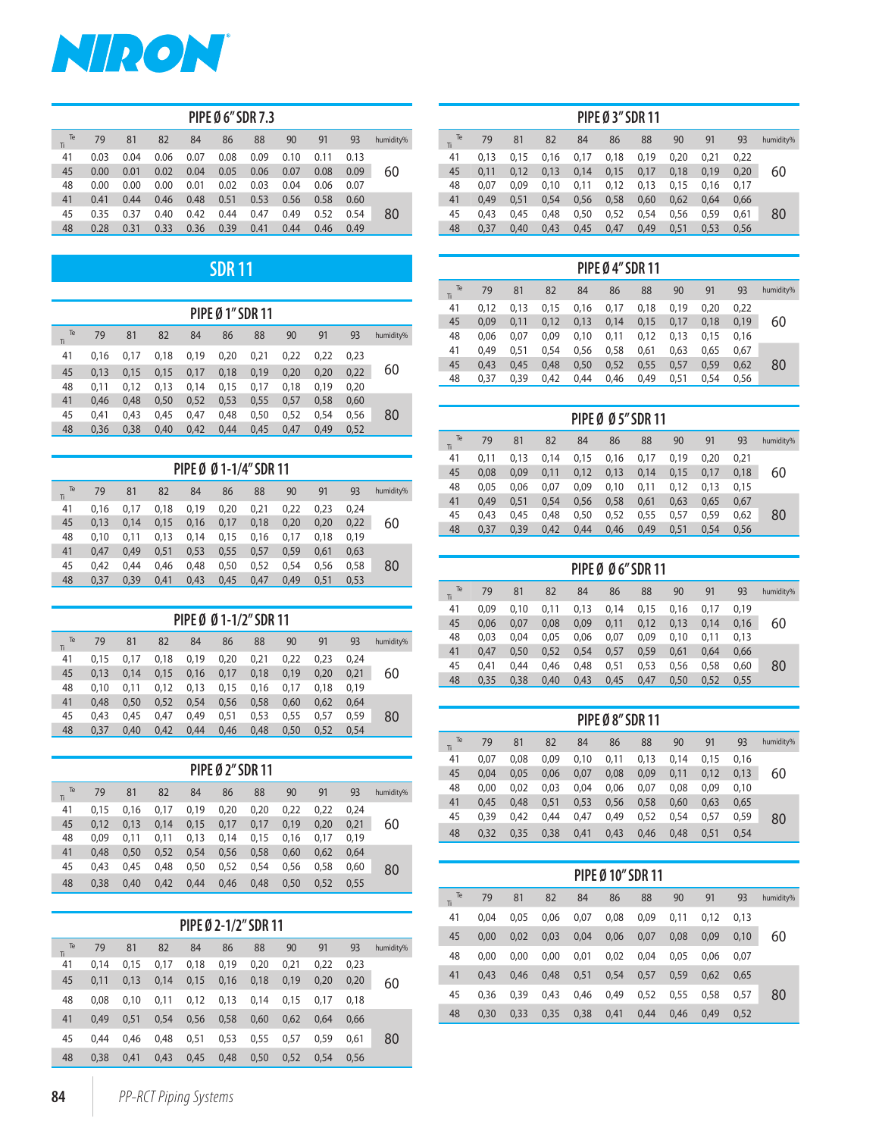

| PIPE Ø 6" SDR 7.3 |      |      |      |      |      |      |      |      |      |           |  |  |
|-------------------|------|------|------|------|------|------|------|------|------|-----------|--|--|
| Te<br>Ti          | 79   | 81   | 82   | 84   | 86   | 88   | 90   | 91   | 93   | humidity% |  |  |
| 41                | 0.03 | 0.04 | 0.06 | 0.07 | 0.08 | 0.09 | 0.10 | 0.11 | 0.13 |           |  |  |
| 45                | 0.00 | 0.01 | 0.02 | 0.04 | 0.05 | 0.06 | 0.07 | 0.08 | 0.09 | 60        |  |  |
| 48                | 0.00 | 0.00 | 0.00 | 0.01 | 0.02 | 0.03 | 0.04 | 0.06 | 0.07 |           |  |  |
| 41                | 0.41 | 0.44 | 0.46 | 0.48 | 0.51 | 0.53 | 0.56 | 0.58 | 0.60 |           |  |  |
| 45                | 0.35 | 0.37 | 0.40 | 0.42 | 0.44 | 0.47 | 0.49 | 0.52 | 0.54 | 80        |  |  |
| 48                | 0.28 | 0.31 | 0.33 | 0.36 | 0.39 | 0.41 | 0.44 | 0.46 | 0.49 |           |  |  |

## **SDR 11**

| <b>PIPE Ø 1″ SDR 11</b> |      |      |      |      |      |      |      |      |      |           |  |
|-------------------------|------|------|------|------|------|------|------|------|------|-----------|--|
| Te<br>Ti                | 79   | 81   | 82   | 84   | 86   | 88   | 90   | 91   | 93   | humidity% |  |
| 41                      | 0.16 | 0.17 | 0,18 | 0,19 | 0,20 | 0,21 | 0,22 | 0.22 | 0.23 |           |  |
| 45                      | 0.13 | 0.15 | 0,15 | 0,17 | 0,18 | 0.19 | 0,20 | 0.20 | 0,22 | 60        |  |
| 48                      | 0.11 | 0.12 | 0,13 | 0,14 | 0,15 | 0.17 | 0.18 | 0.19 | 0,20 |           |  |
| 41                      | 0.46 | 0.48 | 0,50 | 0,52 | 0,53 | 0,55 | 0,57 | 0,58 | 0.60 |           |  |
| 45                      | 0.41 | 0.43 | 0.45 | 0,47 | 0.48 | 0.50 | 0,52 | 0.54 | 0.56 | 80        |  |
| 48                      | 0,36 | 0,38 | 0,40 | 0,42 | 0,44 | 0,45 | 0,47 | 0.49 | 0,52 |           |  |

| PIPE Ø Ø 1-1/4" SDR 11 |           |      |      |      |      |      |      |      |      |      |           |  |  |
|------------------------|-----------|------|------|------|------|------|------|------|------|------|-----------|--|--|
|                        | Te<br>Tì. | 79   | 81   | 82   | 84   | 86   | 88   | 90   | 91   | 93   | humidity% |  |  |
|                        | 41        | 0.16 | 0.17 | 0,18 | 0.19 | 0.20 | 0,21 | 0.22 | 0.23 | 0.24 |           |  |  |
|                        | 45        | 0.13 | 0.14 | 0,15 | 0,16 | 0,17 | 0,18 | 0,20 | 0,20 | 0,22 | 60        |  |  |
|                        | 48        | 0.10 | 0.11 | 0,13 | 0,14 | 0,15 | 0.16 | 0,17 | 0.18 | 0.19 |           |  |  |
|                        | 41        | 0.47 | 0.49 | 0,51 | 0,53 | 0,55 | 0,57 | 0,59 | 0.61 | 0,63 |           |  |  |
|                        | 45        | 0.42 | 0.44 | 0.46 | 0.48 | 0.50 | 0.52 | 0.54 | 0.56 | 0,58 | 80        |  |  |
|                        | 48        | 0,37 | 0,39 | 0,41 | 0,43 | 0,45 | 0,47 | 0,49 | 0,51 | 0,53 |           |  |  |

|          | PIPE Ø Ø 1-1/2" SDR 11 |      |      |      |      |      |      |      |      |           |  |  |  |  |
|----------|------------------------|------|------|------|------|------|------|------|------|-----------|--|--|--|--|
| Te<br>Ti | 79                     | 81   | 82   | 84   | 86   | 88   | 90   | 91   | 93   | humidity% |  |  |  |  |
| 41       | 0.15                   | 0.17 | 0.18 | 0.19 | 0.20 | 0.21 | 0,22 | 0.23 | 0.24 |           |  |  |  |  |
| 45       | 0.13                   | 0.14 | 0,15 | 0.16 | 0,17 | 0,18 | 0.19 | 0.20 | 0,21 | 60        |  |  |  |  |
| 48       | 0.10                   | 0.11 | 0,12 | 0,13 | 0,15 | 0,16 | 0.17 | 0.18 | 0,19 |           |  |  |  |  |
| 41       | 0.48                   | 0.50 | 0,52 | 0,54 | 0,56 | 0,58 | 0.60 | 0.62 | 0.64 |           |  |  |  |  |
| 45       | 0.43                   | 0.45 | 0,47 | 0.49 | 0,51 | 0,53 | 0,55 | 0.57 | 0.59 | 80        |  |  |  |  |
| 48       | 0,37                   | 0.40 | 0,42 | 0,44 | 0.46 | 0,48 | 0,50 | 0.52 | 0,54 |           |  |  |  |  |

| <b>PIPE Ø 2" SDR 11</b> |      |      |      |      |      |      |      |      |      |           |  |  |  |
|-------------------------|------|------|------|------|------|------|------|------|------|-----------|--|--|--|
| Te<br>Ti                | 79   | 81   | 82   | 84   | 86   | 88   | 90   | 91   | 93   | humidity% |  |  |  |
| 41                      | 0.15 | 0.16 | 0,17 | 0.19 | 0.20 | 0,20 | 0.22 | 0.22 | 0.24 |           |  |  |  |
| 45                      | 0.12 | 0,13 | 0,14 | 0.15 | 0,17 | 0,17 | 0.19 | 0.20 | 0,21 | 60        |  |  |  |
| 48                      | 0.09 | 0.11 | 0,11 | 0.13 | 0.14 | 0,15 | 0.16 | 0.17 | 0,19 |           |  |  |  |
| 41                      | 0.48 | 0.50 | 0,52 | 0.54 | 0.56 | 0,58 | 0.60 | 0.62 | 0,64 |           |  |  |  |
| 45                      | 0.43 | 0.45 | 0.48 | 0,50 | 0,52 | 0,54 | 0,56 | 0,58 | 0,60 | 80        |  |  |  |
| 48                      | 0,38 | 0.40 | 0,42 | 0,44 | 0,46 | 0.48 | 0,50 | 0.52 | 0.55 |           |  |  |  |

| PIPE Ø 2-1/2" SDR 11 |      |      |      |      |      |      |      |      |      |           |  |  |  |
|----------------------|------|------|------|------|------|------|------|------|------|-----------|--|--|--|
| Te<br>Ti             | 79   | 81   | 82   | 84   | 86   | 88   | 90   | 91   | 93   | humidity% |  |  |  |
| 41                   | 0.14 | 0.15 | 0.17 | 0.18 | 0,19 | 0.20 | 0.21 | 0.22 | 0.23 |           |  |  |  |
| 45                   | 0.11 | 0,13 | 0,14 | 0,15 | 0,16 | 0,18 | 0,19 | 0,20 | 0,20 | 60        |  |  |  |
| 48                   | 0.08 | 0.10 | 0,11 | 0,12 | 0,13 | 0,14 | 0.15 | 0.17 | 0.18 |           |  |  |  |
| 41                   | 0.49 | 0.51 | 0.54 | 0,56 | 0,58 | 0,60 | 0,62 | 0.64 | 0.66 |           |  |  |  |
| 45                   | 0.44 | 0.46 | 0.48 | 0,51 | 0,53 | 0,55 | 0.57 | 0.59 | 0.61 | 80        |  |  |  |
| 48                   | 0,38 | 0.41 | 0,43 | 0,45 | 0,48 | 0,50 | 0,52 | 0.54 | 0.56 |           |  |  |  |

| <b>PIPE Ø 3" SDR 11</b> |      |      |      |      |      |      |      |      |      |           |  |  |
|-------------------------|------|------|------|------|------|------|------|------|------|-----------|--|--|
| Te<br>Ti                | 79   | 81   | 82   | 84   | 86   | 88   | 90   | 91   | 93   | humidity% |  |  |
| 41                      | 0,13 | 0.15 | 0,16 | 0,17 | 0,18 | 0,19 | 0,20 | 0,21 | 0,22 |           |  |  |
| 45                      | 0.11 | 0.12 | 0,13 | 0.14 | 0,15 | 0,17 | 0,18 | 0,19 | 0,20 | 60        |  |  |
| 48                      | 0,07 | 0.09 | 0.10 | 0.11 | 0,12 | 0,13 | 0,15 | 0.16 | 0,17 |           |  |  |
| 41                      | 0.49 | 0,51 | 0,54 | 0,56 | 0,58 | 0,60 | 0,62 | 0,64 | 0,66 |           |  |  |
| 45                      | 0.43 | 0.45 | 0.48 | 0.50 | 0,52 | 0,54 | 0,56 | 0.59 | 0.61 | 80        |  |  |
| 48                      | 0,37 | 0,40 | 0,43 | 0,45 | 0,47 | 0,49 | 0,51 | 0,53 | 0,56 |           |  |  |

| <b>PIPE Ø 4" SDR 11</b> |      |      |      |      |      |      |      |      |      |           |  |  |
|-------------------------|------|------|------|------|------|------|------|------|------|-----------|--|--|
| Te<br>Ti                | 79   | 81   | 82   | 84   | 86   | 88   | 90   | 91   | 93   | humidity% |  |  |
| 41                      | 0.12 | 0.13 | 0,15 | 0,16 | 0,17 | 0.18 | 0,19 | 0.20 | 0.22 |           |  |  |
| 45                      | 0.09 | 0,11 | 0,12 | 0,13 | 0,14 | 0,15 | 0,17 | 0,18 | 0,19 | 60        |  |  |
| 48                      | 0.06 | 0.07 | 0.09 | 0,10 | 0.11 | 0,12 | 0,13 | 0.15 | 0.16 |           |  |  |
| 41                      | 0.49 | 0,51 | 0,54 | 0,56 | 0,58 | 0,61 | 0,63 | 0,65 | 0.67 |           |  |  |
| 45                      | 0.43 | 0.45 | 0.48 | 0,50 | 0,52 | 0,55 | 0,57 | 0,59 | 0.62 | 80        |  |  |
| 48                      | 0.37 | 0,39 | 0,42 | 0,44 | 0,46 | 0,49 | 0,51 | 0,54 | 0,56 |           |  |  |

| <b>PIPE Ø Ø 5" SDR 11</b> |      |      |      |      |      |      |      |      |      |           |  |  |  |
|---------------------------|------|------|------|------|------|------|------|------|------|-----------|--|--|--|
| Te<br>Ti                  | 79   | 81   | 82   | 84   | 86   | 88   | 90   | 91   | 93   | humidity% |  |  |  |
| 41                        | 0.11 | 0.13 | 0,14 | 0,15 | 0.16 | 0,17 | 0,19 | 0.20 | 0.21 |           |  |  |  |
| 45                        | 0.08 | 0.09 | 0,11 | 0,12 | 0,13 | 0,14 | 0,15 | 0,17 | 0.18 | 60        |  |  |  |
| 48                        | 0.05 | 0.06 | 0,07 | 0,09 | 0,10 | 0,11 | 0,12 | 0.13 | 0,15 |           |  |  |  |
| 41                        | 0.49 | 0,51 | 0,54 | 0,56 | 0,58 | 0,61 | 0,63 | 0,65 | 0,67 |           |  |  |  |
| 45                        | 0.43 | 0.45 | 0,48 | 0,50 | 0,52 | 0,55 | 0,57 | 0.59 | 0.62 | 80        |  |  |  |
| 48                        | 0,37 | 0,39 | 0,42 | 0,44 | 0,46 | 0,49 | 0,51 | 0,54 | 0,56 |           |  |  |  |

| PIPE Ø Ø 6" SDR 11 |      |      |      |      |      |      |      |      |      |           |  |  |  |
|--------------------|------|------|------|------|------|------|------|------|------|-----------|--|--|--|
| Te<br>Ti           | 79   | 81   | 82   | 84   | 86   | 88   | 90   | 91   | 93   | humidity% |  |  |  |
| 41                 | 0.09 | 0.10 | 0,11 | 0,13 | 0.14 | 0.15 | 0.16 | 0.17 | 0.19 |           |  |  |  |
| 45                 | 0.06 | 0.07 | 0,08 | 0.09 | 0,11 | 0,12 | 0,13 | 0,14 | 0.16 | 60        |  |  |  |
| 48                 | 0.03 | 0.04 | 0,05 | 0.06 | 0,07 | 0.09 | 0.10 | 0.11 | 0.13 |           |  |  |  |
| 41                 | 0.47 | 0,50 | 0,52 | 0,54 | 0,57 | 0,59 | 0,61 | 0,64 | 0,66 |           |  |  |  |
| 45                 | 0.41 | 0.44 | 0,46 | 0.48 | 0,51 | 0,53 | 0,56 | 0,58 | 0.60 | 80        |  |  |  |
| 48                 | 0,35 | 0,38 | 0,40 | 0,43 | 0,45 | 0,47 | 0,50 | 0,52 | 0,55 |           |  |  |  |

| <b>PIPE Ø 8" SDR 11</b> |      |      |      |      |      |      |      |      |      |           |  |  |
|-------------------------|------|------|------|------|------|------|------|------|------|-----------|--|--|
| Te<br>Tì                | 79   | 81   | 82   | 84   | 86   | 88   | 90   | 91   | 93   | humidity% |  |  |
| 41                      | 0.07 | 0.08 | 0.09 | 0,10 | 0.11 | 0.13 | 0.14 | 0.15 | 0.16 |           |  |  |
| 45                      | 0.04 | 0,05 | 0,06 | 0,07 | 0,08 | 0,09 | 0,11 | 0,12 | 0,13 | 60        |  |  |
| 48                      | 0.00 | 0.02 | 0,03 | 0,04 | 0,06 | 0.07 | 0,08 | 0.09 | 0,10 |           |  |  |
| 41                      | 0.45 | 0.48 | 0,51 | 0,53 | 0,56 | 0,58 | 0,60 | 0,63 | 0,65 |           |  |  |
| 45                      | 0.39 | 0.42 | 0.44 | 0,47 | 0.49 | 0,52 | 0,54 | 0,57 | 0,59 | 80        |  |  |
| 48                      | 0,32 | 0,35 | 0,38 | 0,41 | 0,43 | 0.46 | 0,48 | 0,51 | 0,54 |           |  |  |

| <b>PIPE Ø 10" SDR 11</b> |      |      |      |      |      |      |      |      |      |           |  |  |
|--------------------------|------|------|------|------|------|------|------|------|------|-----------|--|--|
| Te<br>Ti                 | 79   | 81   | 82   | 84   | 86   | 88   | 90   | 91   | 93   | humidity% |  |  |
| 41                       | 0.04 | 0.05 | 0.06 | 0,07 | 0,08 | 0.09 | 0,11 | 0.12 | 0.13 |           |  |  |
| 45                       | 0.00 | 0,02 | 0,03 | 0,04 | 0,06 | 0,07 | 0,08 | 0,09 | 0,10 | 60        |  |  |
| 48                       | 0.00 | 0.00 | 0.00 | 0,01 | 0,02 | 0.04 | 0.05 | 0.06 | 0.07 |           |  |  |
| 41                       | 0.43 | 0.46 | 0.48 | 0,51 | 0,54 | 0,57 | 0.59 | 0,62 | 0.65 |           |  |  |
| 45                       | 0.36 | 0.39 | 0,43 | 0.46 | 0,49 | 0,52 | 0,55 | 0.58 | 0.57 | 80        |  |  |
| 48                       | 0.30 | 0.33 | 0.35 | 0,38 | 0,41 | 0.44 | 0.46 | 0.49 | 0.52 |           |  |  |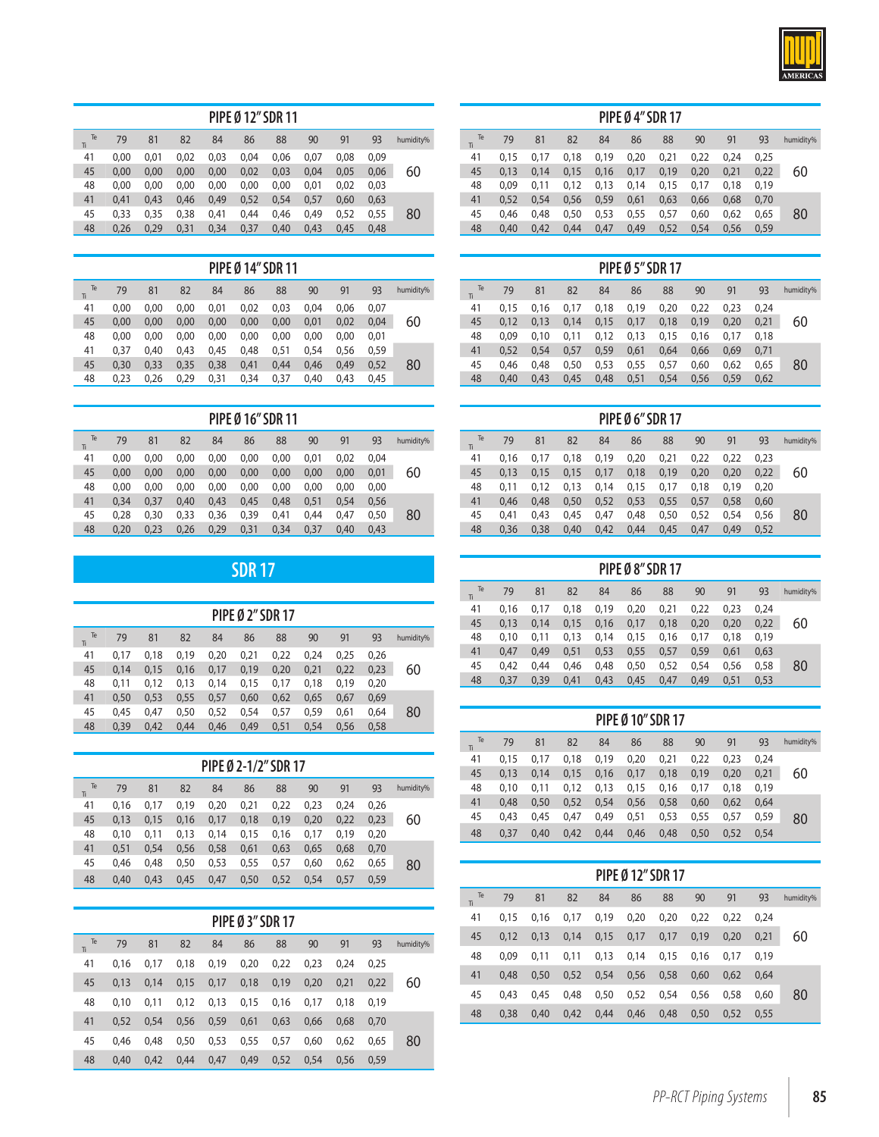

| PIPE Ø 12" SDR 11 |      |      |      |      |      |      |      |      |      |           |  |  |
|-------------------|------|------|------|------|------|------|------|------|------|-----------|--|--|
| Te<br>Ti          | 79   | 81   | 82   | 84   | 86   | 88   | 90   | 91   | 93   | humidity% |  |  |
| 41                | 0.00 | 0.01 | 0.02 | 0.03 | 0.04 | 0.06 | 0.07 | 0.08 | 0.09 |           |  |  |
| 45                | 0.00 | 0.00 | 0,00 | 0.00 | 0,02 | 0,03 | 0.04 | 0.05 | 0.06 | 60        |  |  |
| 48                | 0.00 | 0.00 | 0,00 | 0.00 | 0.00 | 0,00 | 0,01 | 0.02 | 0.03 |           |  |  |
| 41                | 0.41 | 0.43 | 0,46 | 0,49 | 0,52 | 0,54 | 0,57 | 0.60 | 0,63 |           |  |  |
| 45                | 0.33 | 0.35 | 0.38 | 0.41 | 0.44 | 0.46 | 0.49 | 0.52 | 0.55 | 80        |  |  |
| 48                | 0,26 | 0,29 | 0,31 | 0,34 | 0,37 | 0,40 | 0,43 | 0,45 | 0,48 |           |  |  |

| PIPE Ø 14" SDR 11 |      |      |      |      |      |      |      |      |      |           |  |  |
|-------------------|------|------|------|------|------|------|------|------|------|-----------|--|--|
| Te<br>Ti          | 79   | 81   | 82   | 84   | 86   | 88   | 90   | 91   | 93   | humidity% |  |  |
| 41                | 0.00 | 0.00 | 0.00 | 0,01 | 0.02 | 0.03 | 0.04 | 0.06 | 0.07 |           |  |  |
| 45                | 0.00 | 0.00 | 0.00 | 0,00 | 0.00 | 0.00 | 0,01 | 0.02 | 0.04 | 60        |  |  |
| 48                | 0.00 | 0.00 | 0.00 | 0.00 | 0.00 | 0.00 | 0.00 | 0.00 | 0.01 |           |  |  |
| 41                | 0.37 | 0.40 | 0,43 | 0,45 | 0,48 | 0,51 | 0,54 | 0.56 | 0.59 |           |  |  |
| 45                | 0.30 | 0.33 | 0,35 | 0,38 | 0.41 | 0,44 | 0.46 | 0.49 | 0.52 | 80        |  |  |
| 48                | 0,23 | 0.26 | 0,29 | 0,31 | 0,34 | 0,37 | 0,40 | 0.43 | 0,45 |           |  |  |

|          | <b>PIPE Ø 16" SDR 11</b> |      |      |      |      |      |      |      |      |           |  |  |  |  |
|----------|--------------------------|------|------|------|------|------|------|------|------|-----------|--|--|--|--|
| Te<br>Ti | 79                       | 81   | 82   | 84   | 86   | 88   | 90   | 91   | 93   | humidity% |  |  |  |  |
| 41       | 0.00                     | 0.00 | 0.00 | 0.00 | 0.00 | 0.00 | 0,01 | 0.02 | 0.04 |           |  |  |  |  |
| 45       | 0.00                     | 0.00 | 0,00 | 0,00 | 0.00 | 0.00 | 0,00 | 0,00 | 0.01 | 60        |  |  |  |  |
| 48       | 0,00                     | 0.00 | 0,00 | 0,00 | 0,00 | 0,00 | 0,00 | 0.00 | 0,00 |           |  |  |  |  |
| 41       | 0.34                     | 0.37 | 0.40 | 0,43 | 0.45 | 0.48 | 0,51 | 0.54 | 0.56 |           |  |  |  |  |
| 45       | 0.28                     | 0.30 | 0,33 | 0,36 | 0,39 | 0,41 | 0,44 | 0.47 | 0.50 | 80        |  |  |  |  |
| 48       | 0,20                     | 0,23 | 0,26 | 0,29 | 0,31 | 0,34 | 0,37 | 0,40 | 0,43 |           |  |  |  |  |

## **SDR 17**

| <b>PIPE Ø 2" SDR 17</b> |      |      |      |      |      |      |      |      |      |           |  |  |  |
|-------------------------|------|------|------|------|------|------|------|------|------|-----------|--|--|--|
| Te<br>Ti                | 79   | 81   | 82   | 84   | 86   | 88   | 90   | 91   | 93   | humidity% |  |  |  |
| 41                      | 0.17 | 0.18 | 0.19 | 0,20 | 0,21 | 0,22 | 0.24 | 0.25 | 0.26 |           |  |  |  |
| 45                      | 0.14 | 0,15 | 0.16 | 0,17 | 0,19 | 0,20 | 0,21 | 0,22 | 0,23 | 60        |  |  |  |
| 48                      | 0.11 | 0.12 | 0.13 | 0,14 | 0.15 | 0.17 | 0.18 | 0.19 | 0.20 |           |  |  |  |
| 41                      | 0.50 | 0.53 | 0,55 | 0,57 | 0,60 | 0,62 | 0,65 | 0,67 | 0,69 |           |  |  |  |
| 45                      | 0.45 | 0.47 | 0.50 | 0,52 | 0.54 | 0,57 | 0,59 | 0.61 | 0,64 | 80        |  |  |  |
| 48                      | 0.39 | 0.42 | 0.44 | 0,46 | 0.49 | 0,51 | 0,54 | 0,56 | 0,58 |           |  |  |  |

| PIPE Ø 2-1/2" SDR 17 |      |      |      |      |      |      |      |      |      |           |  |  |  |
|----------------------|------|------|------|------|------|------|------|------|------|-----------|--|--|--|
| Te<br>Ti             | 79   | 81   | 82   | 84   | 86   | 88   | 90   | 91   | 93   | humidity% |  |  |  |
| 41                   | 0.16 | 0.17 | 0.19 | 0.20 | 0,21 | 0.22 | 0.23 | 0.24 | 0.26 |           |  |  |  |
| 45                   | 0.13 | 0.15 | 0.16 | 0,17 | 0.18 | 0.19 | 0,20 | 0,22 | 0.23 | 60        |  |  |  |
| 48                   | 0.10 | 0.11 | 0,13 | 0,14 | 0,15 | 0.16 | 0,17 | 0.19 | 0.20 |           |  |  |  |
| 41                   | 0.51 | 0.54 | 0.56 | 0,58 | 0,61 | 0.63 | 0,65 | 0.68 | 0.70 |           |  |  |  |
| 45                   | 0.46 | 0.48 | 0.50 | 0,53 | 0,55 | 0,57 | 0,60 | 0,62 | 0,65 | 80        |  |  |  |
| 48                   | 0.40 | 0.43 | 0.45 | 0.47 | 0.50 | 0.52 | 0.54 | 0.57 | 0.59 |           |  |  |  |

|           | <b>PIPE Ø 3" SDR 17</b> |      |      |      |      |      |      |      |      |           |  |  |  |  |  |
|-----------|-------------------------|------|------|------|------|------|------|------|------|-----------|--|--|--|--|--|
| humidity% | 93                      | 91   | 90   | 88   | 86   | 84   | 82   | 81   | 79   | Te<br>Ti. |  |  |  |  |  |
|           | 0.25                    | 0.24 | 0.23 | 0,22 | 0,20 | 0,19 | 0,18 | 0.17 | 0.16 | 41        |  |  |  |  |  |
| 60        | 0,22                    | 0,21 | 0,20 | 0,19 | 0,18 | 0,17 | 0.15 | 0.14 | 0.13 | 45        |  |  |  |  |  |
|           | 0.19                    | 0.18 | 0.17 | 0.16 | 0,15 | 0,13 | 0,12 | 0.11 | 0.10 | 48        |  |  |  |  |  |
|           | 0.70                    | 0.68 | 0,66 | 0,63 | 0,61 | 0,59 | 0,56 | 0.54 | 0.52 | 41        |  |  |  |  |  |
| 80        | 0.65                    | 0.62 | 0.60 | 0.57 | 0,55 | 0,53 | 0.50 | 0.48 | 0.46 | 45        |  |  |  |  |  |
|           | 0.59                    | 0,56 | 0.54 | 0,52 | 0.49 | 0.47 | 0.44 | 0.42 | 0.40 | 48        |  |  |  |  |  |

| <b>PIPE Ø 4" SDR 17</b> |      |      |      |      |      |      |      |      |      |           |  |  |  |  |
|-------------------------|------|------|------|------|------|------|------|------|------|-----------|--|--|--|--|
| Te<br>Ti                | 79   | 81   | 82   | 84   | 86   | 88   | 90   | 91   | 93   | humidity% |  |  |  |  |
| 41                      | 0.15 | 0.17 | 0,18 | 0,19 | 0,20 | 0,21 | 0,22 | 0.24 | 0,25 |           |  |  |  |  |
| 45                      | 0,13 | 0.14 | 0,15 | 0,16 | 0,17 | 0,19 | 0,20 | 0,21 | 0,22 | 60        |  |  |  |  |
| 48                      | 0.09 | 0.11 | 0,12 | 0,13 | 0,14 | 0,15 | 0,17 | 0.18 | 0,19 |           |  |  |  |  |
| 41                      | 0,52 | 0,54 | 0,56 | 0,59 | 0,61 | 0,63 | 0,66 | 0,68 | 0,70 |           |  |  |  |  |
| 45                      | 0.46 | 0.48 | 0.50 | 0.53 | 0,55 | 0,57 | 0,60 | 0.62 | 0,65 | 80        |  |  |  |  |
| 48                      | 0,40 | 0,42 | 0,44 | 0,47 | 0,49 | 0,52 | 0,54 | 0,56 | 0,59 |           |  |  |  |  |

| <b>PIPE Ø 5" SDR 17</b> |      |      |      |      |      |      |      |      |      |           |  |  |  |
|-------------------------|------|------|------|------|------|------|------|------|------|-----------|--|--|--|
| Te<br>Ti                | 79   | 81   | 82   | 84   | 86   | 88   | 90   | 91   | 93   | humidity% |  |  |  |
| 41                      | 0.15 | 0.16 | 0.17 | 0,18 | 0.19 | 0.20 | 0,22 | 0.23 | 0.24 |           |  |  |  |
| 45                      | 0.12 | 0,13 | 0,14 | 0,15 | 0,17 | 0,18 | 0,19 | 0,20 | 0,21 | 60        |  |  |  |
| 48                      | 0.09 | 0.10 | 0.11 | 0,12 | 0.13 | 0.15 | 0,16 | 0.17 | 0.18 |           |  |  |  |
| 41                      | 0.52 | 0,54 | 0,57 | 0,59 | 0,61 | 0,64 | 0,66 | 0.69 | 0,71 |           |  |  |  |
| 45                      | 0.46 | 0.48 | 0.50 | 0,53 | 0,55 | 0.57 | 0.60 | 0.62 | 0.65 | 80        |  |  |  |
| 48                      | 0.40 | 0.43 | 0.45 | 0.48 | 0,51 | 0.54 | 0,56 | 0,59 | 0.62 |           |  |  |  |

| <b>PIPE Ø 6" SDR 17</b> |      |      |      |      |      |      |      |      |      |           |  |  |  |
|-------------------------|------|------|------|------|------|------|------|------|------|-----------|--|--|--|
| Te<br>Ti                | 79   | 81   | 82   | 84   | 86   | 88   | 90   | 91   | 93   | humidity% |  |  |  |
| 41                      | 0.16 | 0.17 | 0,18 | 0,19 | 0,20 | 0,21 | 0,22 | 0,22 | 0.23 |           |  |  |  |
| 45                      | 0,13 | 0,15 | 0,15 | 0,17 | 0,18 | 0,19 | 0,20 | 0,20 | 0,22 | 60        |  |  |  |
| 48                      | 0,11 | 0,12 | 0,13 | 0,14 | 0,15 | 0,17 | 0,18 | 0,19 | 0,20 |           |  |  |  |
| 41                      | 0.46 | 0.48 | 0,50 | 0,52 | 0,53 | 0,55 | 0,57 | 0,58 | 0.60 |           |  |  |  |
| 45                      | 0.41 | 0.43 | 0,45 | 0,47 | 0,48 | 0,50 | 0,52 | 0.54 | 0,56 | 80        |  |  |  |
| 48                      | 0,36 | 0,38 | 0,40 | 0,42 | 0,44 | 0,45 | 0,47 | 0,49 | 0,52 |           |  |  |  |

| <b>PIPE Ø 8" SDR 17</b> |      |      |      |      |      |      |      |      |      |           |  |  |  |
|-------------------------|------|------|------|------|------|------|------|------|------|-----------|--|--|--|
| Te<br>Ti                | 79   | 81   | 82   | 84   | 86   | 88   | 90   | 91   | 93   | humidity% |  |  |  |
| 41                      | 0.16 | 0.17 | 0,18 | 0,19 | 0,20 | 0,21 | 0,22 | 0.23 | 0.24 |           |  |  |  |
| 45                      | 0.13 | 0.14 | 0,15 | 0,16 | 0,17 | 0,18 | 0,20 | 0,20 | 0,22 | 60        |  |  |  |
| 48                      | 0.10 | 0.11 | 0,13 | 0,14 | 0,15 | 0,16 | 0.17 | 0.18 | 0,19 |           |  |  |  |
| 41                      | 0.47 | 0.49 | 0,51 | 0,53 | 0,55 | 0,57 | 0,59 | 0,61 | 0,63 |           |  |  |  |
| 45                      | 0.42 | 0.44 | 0.46 | 0.48 | 0,50 | 0,52 | 0,54 | 0.56 | 0,58 | 80        |  |  |  |
| 48                      | 0,37 | 0,39 | 0,41 | 0,43 | 0,45 | 0,47 | 0,49 | 0,51 | 0,53 |           |  |  |  |

| <b>PIPE Ø 10" SDR 17</b> |      |      |      |      |      |      |      |      |      |           |  |  |  |
|--------------------------|------|------|------|------|------|------|------|------|------|-----------|--|--|--|
| Te<br>Tì                 | 79   | 81   | 82   | 84   | 86   | 88   | 90   | 91   | 93   | humidity% |  |  |  |
| 41                       | 0.15 | 0.17 | 0,18 | 0,19 | 0,20 | 0.21 | 0,22 | 0.23 | 0.24 |           |  |  |  |
| 45                       | 0.13 | 0,14 | 0,15 | 0,16 | 0,17 | 0,18 | 0,19 | 0,20 | 0,21 | 60        |  |  |  |
| 48                       | 0.10 | 0.11 | 0,12 | 0,13 | 0.15 | 0.16 | 0,17 | 0.18 | 0.19 |           |  |  |  |
| 41                       | 0.48 | 0,50 | 0,52 | 0,54 | 0,56 | 0,58 | 0,60 | 0,62 | 0.64 |           |  |  |  |
| 45                       | 0.43 | 0.45 | 0.47 | 0,49 | 0,51 | 0,53 | 0,55 | 0,57 | 0,59 | 80        |  |  |  |
| 48                       | 0.37 | 0.40 | 0.42 | 0.44 | 0,46 | 0.48 | 0,50 | 0.52 | 0.54 |           |  |  |  |

| <b>PIPE Ø 12" SDR 17</b> |      |      |      |      |      |      |      |      |      |           |  |  |  |
|--------------------------|------|------|------|------|------|------|------|------|------|-----------|--|--|--|
| Te<br>Ti                 | 79   | 81   | 82   | 84   | 86   | 88   | 90   | 91   | 93   | humidity% |  |  |  |
| 41                       | 0.15 | 0.16 | 0,17 | 0,19 | 0,20 | 0,20 | 0,22 | 0,22 | 0.24 |           |  |  |  |
| 45                       | 0.12 | 0.13 | 0.14 | 0,15 | 0,17 | 0,17 | 0,19 | 0,20 | 0.21 | 60        |  |  |  |
| 48                       | 0.09 | 0.11 | 0,11 | 0,13 | 0,14 | 0,15 | 0.16 | 0.17 | 0.19 |           |  |  |  |
| 41                       | 0.48 | 0.50 | 0,52 | 0.54 | 0,56 | 0.58 | 0.60 | 0.62 | 0.64 |           |  |  |  |
| 45                       | 0.43 | 0.45 | 0.48 | 0,50 | 0,52 | 0,54 | 0,56 | 0.58 | 0,60 | 80        |  |  |  |
| 48                       | 0,38 | 0.40 | 0.42 | 0.44 | 0.46 | 0.48 | 0,50 | 0.52 | 0.55 |           |  |  |  |